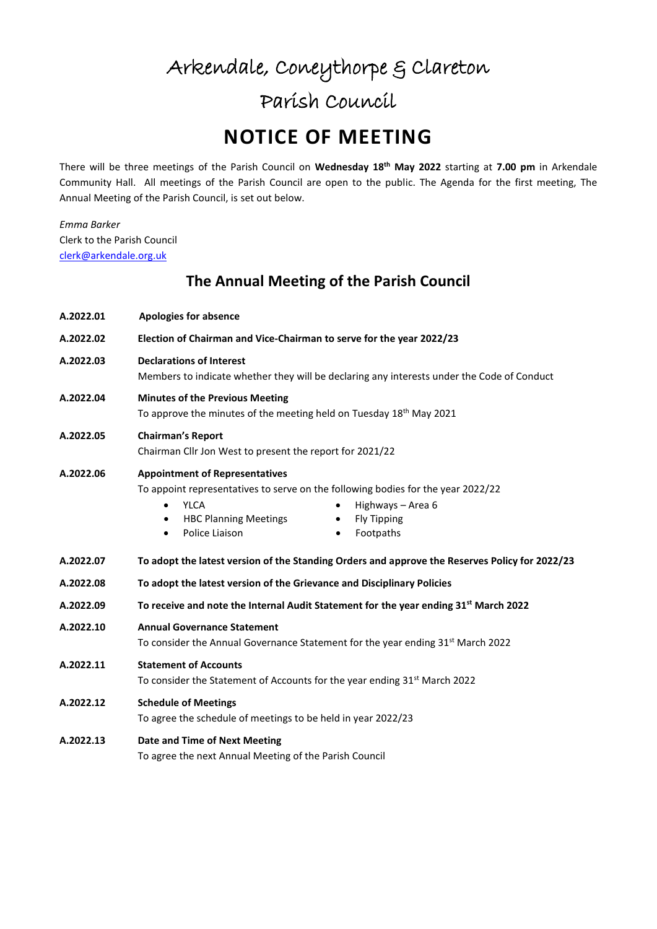# Arkendale, Coneythorpe & Clareton Parish Council

## **NOTICE OF MEETING**

There will be three meetings of the Parish Council on **Wednesday 18th May 2022** starting at **7.00 pm** in Arkendale Community Hall. All meetings of the Parish Council are open to the public. The Agenda for the first meeting, The Annual Meeting of the Parish Council, is set out below.

*Emma Barker* Clerk to the Parish Council [clerk@arkendale.org.uk](mailto:clerk@arkendale.org.uk)

## **The Annual Meeting of the Parish Council**

| A.2022.01 | <b>Apologies for absence</b>                                                                                                                                                                                                                                                                        |
|-----------|-----------------------------------------------------------------------------------------------------------------------------------------------------------------------------------------------------------------------------------------------------------------------------------------------------|
| A.2022.02 | Election of Chairman and Vice-Chairman to serve for the year 2022/23                                                                                                                                                                                                                                |
| A.2022.03 | <b>Declarations of Interest</b><br>Members to indicate whether they will be declaring any interests under the Code of Conduct                                                                                                                                                                       |
| A.2022.04 | <b>Minutes of the Previous Meeting</b><br>To approve the minutes of the meeting held on Tuesday 18 <sup>th</sup> May 2021                                                                                                                                                                           |
| A.2022.05 | <b>Chairman's Report</b><br>Chairman Cllr Jon West to present the report for 2021/22                                                                                                                                                                                                                |
| A.2022.06 | <b>Appointment of Representatives</b><br>To appoint representatives to serve on the following bodies for the year 2022/22<br><b>YLCA</b><br>Highways - Area 6<br>$\bullet$<br><b>HBC Planning Meetings</b><br><b>Fly Tipping</b><br>٠<br>$\bullet$<br>Police Liaison<br>Footpaths<br>$\bullet$<br>٠ |
| A.2022.07 | To adopt the latest version of the Standing Orders and approve the Reserves Policy for 2022/23                                                                                                                                                                                                      |
| A.2022.08 | To adopt the latest version of the Grievance and Disciplinary Policies                                                                                                                                                                                                                              |
| A.2022.09 | To receive and note the Internal Audit Statement for the year ending 31 <sup>st</sup> March 2022                                                                                                                                                                                                    |
| A.2022.10 | <b>Annual Governance Statement</b><br>To consider the Annual Governance Statement for the year ending 31 <sup>st</sup> March 2022                                                                                                                                                                   |
| A.2022.11 | <b>Statement of Accounts</b><br>To consider the Statement of Accounts for the year ending 31 <sup>st</sup> March 2022                                                                                                                                                                               |
| A.2022.12 | <b>Schedule of Meetings</b><br>To agree the schedule of meetings to be held in year 2022/23                                                                                                                                                                                                         |
| A.2022.13 | Date and Time of Next Meeting<br>To agree the next Annual Meeting of the Parish Council                                                                                                                                                                                                             |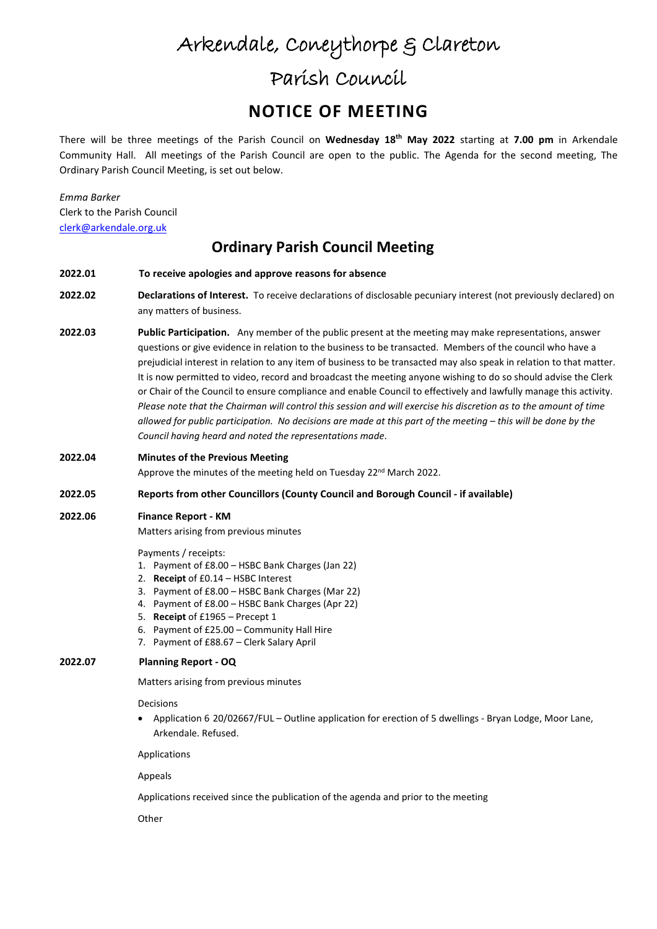## Arkendale, Coneythorpe & Clareton Parish Council

## **NOTICE OF MEETING**

There will be three meetings of the Parish Council on **Wednesday 18th May 2022** starting at **7.00 pm** in Arkendale Community Hall. All meetings of the Parish Council are open to the public. The Agenda for the second meeting, The Ordinary Parish Council Meeting, is set out below.

*Emma Barker* Clerk to the Parish Council [clerk@arkendale.org.uk](mailto:clerk@arkendale.org.uk)

### **Ordinary Parish Council Meeting**

#### **2022.01 To receive apologies and approve reasons for absence**

- **2022.02 Declarations of Interest.** To receive declarations of disclosable pecuniary interest (not previously declared) on any matters of business.
- **2022.03 Public Participation.** Any member of the public present at the meeting may make representations, answer questions or give evidence in relation to the business to be transacted. Members of the council who have a prejudicial interest in relation to any item of business to be transacted may also speak in relation to that matter. It is now permitted to video, record and broadcast the meeting anyone wishing to do so should advise the Clerk or Chair of the Council to ensure compliance and enable Council to effectively and lawfully manage this activity. *Please note that the Chairman will control this session and will exercise his discretion as to the amount of time allowed for public participation. No decisions are made at this part of the meeting – this will be done by the Council having heard and noted the representations made*.
- **2022.04 Minutes of the Previous Meeting**

Approve the minutes of the meeting held on Tuesday 22<sup>nd</sup> March 2022.

#### **2022.05 Reports from other Councillors (County Council and Borough Council - if available)**

#### **2022.06 Finance Report - KM**

Matters arising from previous minutes

Payments / receipts:

- 1. Payment of £8.00 HSBC Bank Charges (Jan 22)
- 2. **Receipt** of £0.14 HSBC Interest
- 3. Payment of £8.00 HSBC Bank Charges (Mar 22)
- 4. Payment of £8.00 HSBC Bank Charges (Apr 22)
- 5. **Receipt** of £1965 Precept 1
- 6. Payment of £25.00 Community Hall Hire
- 7. Payment of £88.67 Clerk Salary April

#### **2022.07 Planning Report - OQ**

Matters arising from previous minutes

Decisions

• Application 6 20/02667/FUL – Outline application for erection of 5 dwellings - Bryan Lodge, Moor Lane, Arkendale. Refused.

Applications

Appeals

Applications received since the publication of the agenda and prior to the meeting

**Other**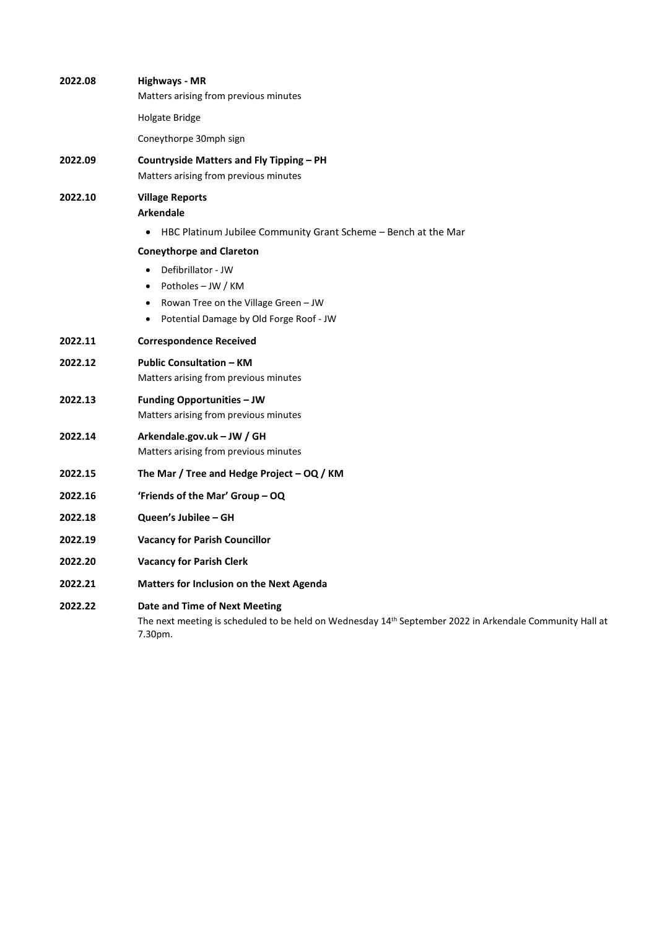| 2022.08 | <b>Highways - MR</b><br>Matters arising from previous minutes                                                                                        |  |
|---------|------------------------------------------------------------------------------------------------------------------------------------------------------|--|
|         | Holgate Bridge                                                                                                                                       |  |
|         | Coneythorpe 30mph sign                                                                                                                               |  |
| 2022.09 | Countryside Matters and Fly Tipping – PH<br>Matters arising from previous minutes                                                                    |  |
| 2022.10 | <b>Village Reports</b><br><b>Arkendale</b>                                                                                                           |  |
|         | HBC Platinum Jubilee Community Grant Scheme - Bench at the Mar<br>$\bullet$                                                                          |  |
|         | <b>Coneythorpe and Clareton</b>                                                                                                                      |  |
|         | Defibrillator - JW<br>$\bullet$                                                                                                                      |  |
|         | Potholes – JW / KM<br>$\bullet$                                                                                                                      |  |
|         | Rowan Tree on the Village Green - JW<br>$\bullet$                                                                                                    |  |
|         | Potential Damage by Old Forge Roof - JW<br>$\bullet$                                                                                                 |  |
| 2022.11 | <b>Correspondence Received</b>                                                                                                                       |  |
| 2022.12 | <b>Public Consultation - KM</b><br>Matters arising from previous minutes                                                                             |  |
| 2022.13 | <b>Funding Opportunities - JW</b><br>Matters arising from previous minutes                                                                           |  |
| 2022.14 | Arkendale.gov.uk - JW / GH<br>Matters arising from previous minutes                                                                                  |  |
| 2022.15 | The Mar / Tree and Hedge Project - OQ / KM                                                                                                           |  |
| 2022.16 | 'Friends of the Mar' Group - OQ                                                                                                                      |  |
| 2022.18 | Queen's Jubilee - GH                                                                                                                                 |  |
| 2022.19 | <b>Vacancy for Parish Councillor</b>                                                                                                                 |  |
| 2022.20 | <b>Vacancy for Parish Clerk</b>                                                                                                                      |  |
| 2022.21 | <b>Matters for Inclusion on the Next Agenda</b>                                                                                                      |  |
| 2022.22 | Date and Time of Next Meeting<br>The next meeting is scheduled to be held on Wednesday 14th September 2022 in Arkendale Community Hall at<br>7.30pm. |  |